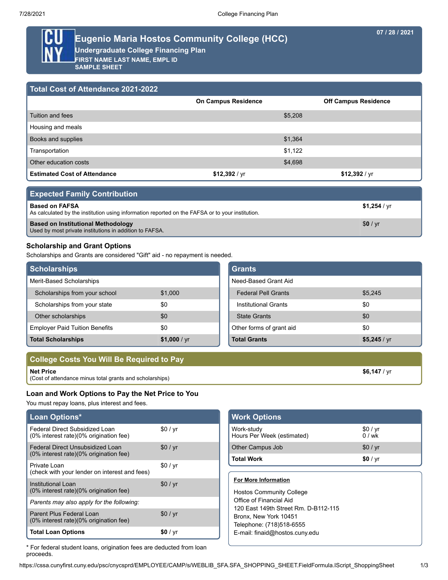**07 / 28 / 2021**

# **Eugenio Maria Hostos Community College (HCC)**

**Undergraduate College Financing Plan**

**FIRST NAME LAST NAME, EMPL ID SAMPLE SHEET**

| <b>Total Cost of Attendance 2021-2022</b> |                            |                             |  |  |  |
|-------------------------------------------|----------------------------|-----------------------------|--|--|--|
|                                           | <b>On Campus Residence</b> | <b>Off Campus Residence</b> |  |  |  |
| Tuition and fees                          | \$5,208                    |                             |  |  |  |
| Housing and meals                         |                            |                             |  |  |  |
| Books and supplies                        | \$1,364                    |                             |  |  |  |
| Transportation                            | \$1,122                    |                             |  |  |  |
| Other education costs                     | \$4,698                    |                             |  |  |  |
| <b>Estimated Cost of Attendance</b>       | \$12,392 / yr              | \$12,392 / $yr$             |  |  |  |

| <b>Expected Family Contribution</b>                                                                                       |                     |  |
|---------------------------------------------------------------------------------------------------------------------------|---------------------|--|
| <b>Based on FAFSA</b><br>As calculated by the institution using information reported on the FAFSA or to your institution. | $$1,254$ / $\vee$ r |  |
| <b>Based on Institutional Methodology</b><br>Used by most private institutions in addition to FAFSA.                      | \$0 / yr            |  |

# **Scholarship and Grant Options**

Scholarships and Grants are considered "Gift" aid - no repayment is needed.

| <b>Scholarships</b>                   |                | <b>Grants</b>               |              |
|---------------------------------------|----------------|-----------------------------|--------------|
| Merit-Based Scholarships              |                | Need-Based Grant Aid        |              |
| Scholarships from your school         | \$1,000        | <b>Federal Pell Grants</b>  | \$5,245      |
| Scholarships from your state          | \$0            | <b>Institutional Grants</b> | \$0          |
| Other scholarships                    | \$0            | <b>State Grants</b>         | \$0          |
| <b>Employer Paid Tuition Benefits</b> | \$0            | Other forms of grant aid    | \$0          |
| <b>Total Scholarships</b>             | \$1,000 / $yr$ | <b>Total Grants</b>         | \$5,245 / yr |

| College Costs You Will Be Required to Pay                |                |
|----------------------------------------------------------|----------------|
| Net Price                                                | $$6.147 / v$ r |
| (Cost of attendance minus total grants and scholarships) |                |

# **Loan and Work Options to Pay the Net Price to You**

You must repay loans, plus interest and fees.

| Loan Options*                                                              |          |  |
|----------------------------------------------------------------------------|----------|--|
| Federal Direct Subsidized Loan<br>(0% interest rate)(0% origination fee)   | \$0/yr   |  |
| Federal Direct Unsubsidized Loan<br>(0% interest rate)(0% origination fee) | \$0/yr   |  |
| Private Loan<br>(check with your lender on interest and fees)              | \$0/yr   |  |
| Institutional Loan<br>(0% interest rate)(0% origination fee)               | \$0/yr   |  |
| Parents may also apply for the following:                                  |          |  |
| Parent Plus Federal Loan<br>(0% interest rate)(0% origination fee)         | \$0/yr   |  |
| <b>Total Loan Options</b>                                                  | \$0 / yr |  |

| <b>Work Options</b>                      |                |
|------------------------------------------|----------------|
| Work-study<br>Hours Per Week (estimated) | \$0/yr<br>0/wk |
| Other Campus Job                         | \$0/yr         |
| <b>Total Work</b>                        | \$0 / yr       |

## **For More Information**

Hostos Community College Office of Financial Aid 120 East 149th Street Rm. D-B112-115 Bronx, New York 10451 Telephone: (718)518-6555 E-mail: finaid@hostos.cuny.edu

\* For federal student loans, origination fees are deducted from loan proceeds.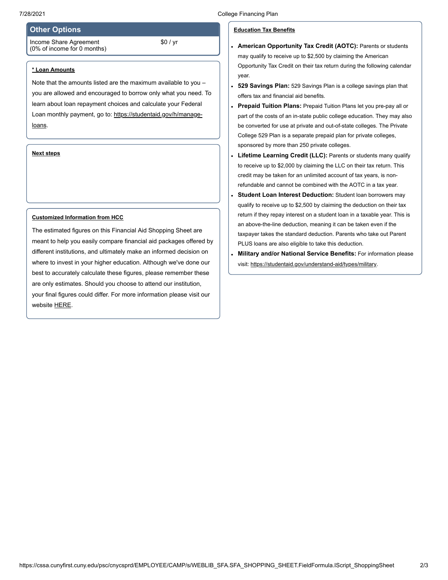## **Other Options**

Income Share Agreement (0% of income for 0 months)

#### **\* Loan Amounts**

Note that the amounts listed are the maximum available to you – you are allowed and encouraged to borrow only what you need. To learn about loan repayment choices and calculate your Federal Loan monthly payment, go to: [https://studentaid.gov/h/manage](https://studentaid.gov/h/manage-loans)loans.

\$0 / yr

## **Next steps**

#### **Customized Information from HCC**

The estimated figures on this Financial Aid Shopping Sheet are meant to help you easily compare financial aid packages offered by different institutions, and ultimately make an informed decision on where to invest in your higher education. Although we've done our best to accurately calculate these figures, please remember these are only estimates. Should you choose to attend our institution, your final figures could differ. For more information please visit our website [HERE.](http://studentaid.ed.gov/)

## **Education Tax Benefits**

- **American Opportunity Tax Credit (AOTC):** Parents or students may qualify to receive up to \$2,500 by claiming the American Opportunity Tax Credit on their tax return during the following calendar year.
- **529 Savings Plan:** 529 Savings Plan is a college savings plan that  $\bullet$ offers tax and financial aid benefits.
- **Prepaid Tuition Plans:** Prepaid Tuition Plans let you pre-pay all or part of the costs of an in-state public college education. They may also be converted for use at private and out-of-state colleges. The Private College 529 Plan is a separate prepaid plan for private colleges, sponsored by more than 250 private colleges.
- **Lifetime Learning Credit (LLC):** Parents or students many qualify  $\ddot{\phantom{0}}$ to receive up to \$2,000 by claiming the LLC on their tax return. This credit may be taken for an unlimited account of tax years, is nonrefundable and cannot be combined with the AOTC in a tax year.
- **Student Loan Interest Deduction:** Student loan borrowers may qualify to receive up to \$2,500 by claiming the deduction on their tax return if they repay interest on a student loan in a taxable year. This is an above-the-line deduction, meaning it can be taken even if the taxpayer takes the standard deduction. Parents who take out Parent PLUS loans are also eligible to take this deduction.
- **Military and/or National Service Benefits:** For information please  $\ddot{\phantom{a}}$ visit: [https://studentaid.gov/understand-aid/types/military.](https://studentaid.gov/understand-aid/types/military)